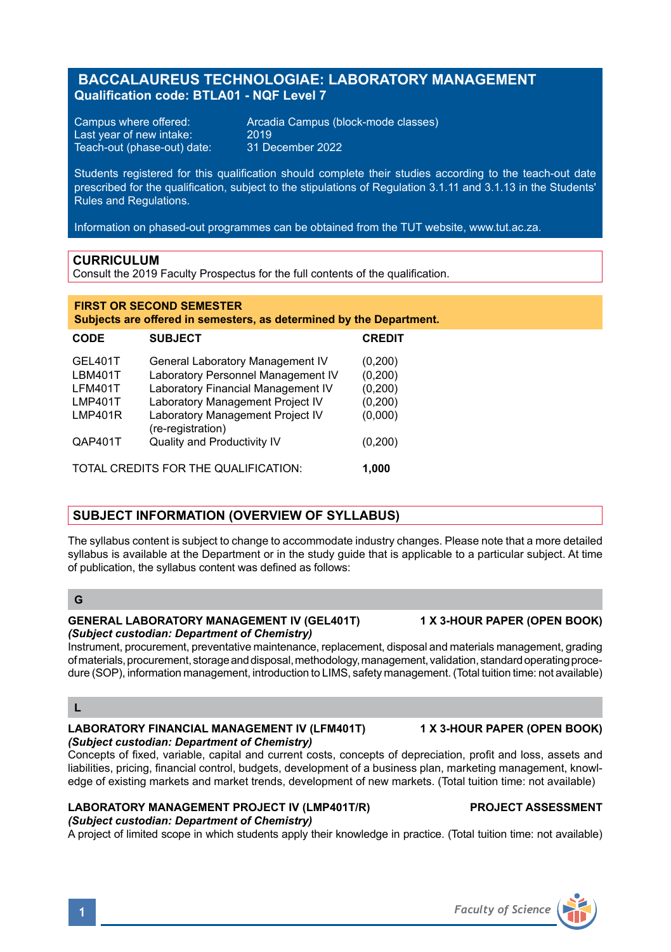# **BACCALAUREUS TECHNOLOGIAE: LABORATORY MANAGEMENT Qualification code: BTLA01 - NQF Level 7**

Last year of new intake: 2019<br>Teach-out (phase-out) date: 31 December 2022 Teach-out (phase-out) date:

**FIRST OR SECOND SEMESTER**

Campus where offered: Arcadia Campus (block-mode classes)

Students registered for this qualification should complete their studies according to the teach-out date prescribed for the qualification, subject to the stipulations of Regulation 3.1.11 and 3.1.13 in the Students' Rules and Regulations.

Information on phased-out programmes can be obtained from the TUT website, www.tut.ac.za.

## **CURRICULUM**

Consult the 2019 Faculty Prospectus for the full contents of the qualification.

| Subjects are offered in semesters, as determined by the Department. |                                                  |               |
|---------------------------------------------------------------------|--------------------------------------------------|---------------|
| <b>CODE</b>                                                         | <b>SUBJECT</b>                                   | <b>CREDIT</b> |
| GEL401T                                                             | General Laboratory Management IV                 | (0,200)       |
| <b>LBM401T</b>                                                      | Laboratory Personnel Management IV               | (0,200)       |
| <b>LFM401T</b>                                                      | Laboratory Financial Management IV               | (0,200)       |
| <b>LMP401T</b>                                                      | Laboratory Management Project IV                 | (0,200)       |
| LMP401R                                                             | Laboratory Management Project IV                 | (0,000)       |
| QAP401T                                                             | (re-registration)<br>Quality and Productivity IV | (0,200)       |
| TOTAL CREDITS FOR THE QUALIFICATION:                                |                                                  | 1.000         |

## **SUBJECT INFORMATION (OVERVIEW OF SYLLABUS)**

The syllabus content is subject to change to accommodate industry changes. Please note that a more detailed syllabus is available at the Department or in the study guide that is applicable to a particular subject. At time of publication, the syllabus content was defined as follows:

## **G**

## **GENERAL LABORATORY MANAGEMENT IV (GEL401T) 1 X 3-HOUR PAPER (OPEN BOOK)** *(Subject custodian: Department of Chemistry)*

Instrument, procurement, preventative maintenance, replacement, disposal and materials management, grading of materials, procurement, storage and disposal, methodology, management, validation, standard operating procedure (SOP), information management, introduction to LIMS, safety management. (Total tuition time: not available)

## **L**

## **LABORATORY FINANCIAL MANAGEMENT IV (LFM401T) 1 X 3-HOUR PAPER (OPEN BOOK)** *(Subject custodian: Department of Chemistry)*

Concepts of fixed, variable, capital and current costs, concepts of depreciation, profit and loss, assets and liabilities, pricing, financial control, budgets, development of a business plan, marketing management, knowledge of existing markets and market trends, development of new markets. (Total tuition time: not available)

### **LABORATORY MANAGEMENT PROJECT IV (LMP401T/R) PROJECT ASSESSMENT** *(Subject custodian: Department of Chemistry)*

A project of limited scope in which students apply their knowledge in practice. (Total tuition time: not available)